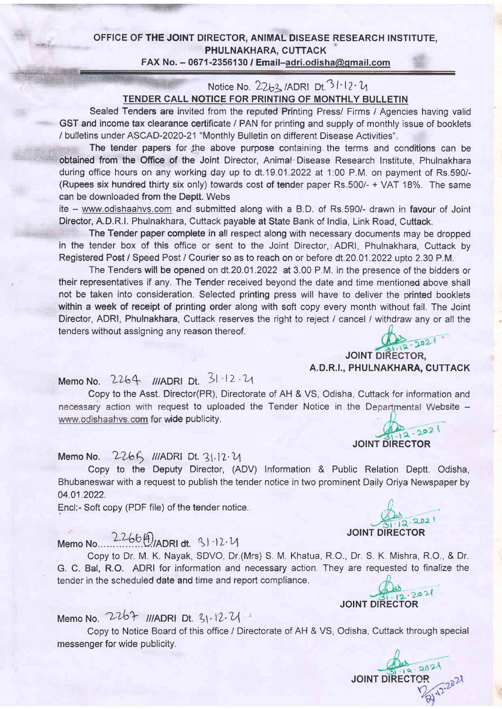### OFFICE OF THE JOINT DIRECTOR, ANIMAL DISEASE RESEARCH INSTITUTE, PHULNAKHARA, CUTTACK FAX No.  $-$  0671-2356130 / Email-adri.odisha@gmail.com

### Notice No.  $2263$  /ADRI Dt.  $31.12.4$ TENDER CALL NOTICE FOR PRINTING OF MONTHLY BULLETIN

Sealed Tenders are invited from the reputed Printing Press/ Firms / Agencies having valid GST and income tax clearance certificate / PAN for printing and supply of monthly issue of booklets / bulletins under ASCAD-2020-21 "Monthly Bulletin on different Disease Activities".

The tender papers for the above purpose containing the terms and conditions can be obtained from the Office of the Joint Director, Animal Disease Research Institute, Phulnakhara during office hours on any working day up to dt.19.01.2022 at 1:00 P.M. on payment of Rs.590/-(Rupees six hundred thirty six only) towards cost of tender paper Rs.5O0/- + VAT 18%. The same can be downloaded from the Deptt. Webs

ite - www.odishaahvs.com and submitted along with a B.D. of Rs.590/- drawn in favour of Joint Director, A.D.R.|. Phulnakhara, Cuttack payable at State Bank of India, Link Road, Cuttack.

The Tender paper complete in all respect along with necessary documents may be dropped in the tender box of this office or sent to the Joint Director, ADRI, Phulnakhara, Cuttack by Registered Post / Speed Post / Courier so as to reach on or before dt. 20.01.2022 upto 2.30 P.M.

The Tenders will be opened on dt.20.01.2022 at 3.00 P.M. in the presence of the bidders or their representatives if any. The Tender received beyond the date and time mentioned above shall not be taken into consideration. Selected printing press will have to deliver the printed booklets within a week of receipt of printing order along with soft copy every month without fail. The Joint Director, ADRI, Phulnakhara, Cuttack reserves the right to reject / cancel / withdraw any or all the tenders without assigning any reason thereof.

JOINT DIRECTOR, A. D.R.I., PHULNAKHARA, CUTTACK

Memo No. 2264 ///ADRI Dt. 31-12.21

Copy to the Asst. Director(PR), Directorate of AH & VS, Odisha, Cuttack for information and necessary action with request to uploaded the Tender Notice in the Departmental Website www.odishaahvs.com for wide publicity. 12.2021

# Memo No.  $2266$  ///ADRI Dt.  $31.12 \cdot U$

Copy to the Deputy Director, (ADV) Information & Public Relation Deptt. Odisha, Bhubaneswar with a request to publish the tender notice in two prominent Daily Oriya Newspaper by 04.01.2022 ,\

# Memo ruo..,...li99.U.nonl ot. \l "tt't4

Copy to Dr. M. K. Nayak, SDVO, Dr.(Mrs) S. M. Khatua, R.O., Dr. S. K. Mishra, R.O., & Dr. G. C. Bal, R.O. ADRI for information and necessary action. They are requested to finalize the tender in the scheduled date and time and report compliance.

# Memo No.  $2267$  ///ADRI Dt.  $31.12.21$

Copy to Notice Board of this office / Directorate of AH & VS, Odisha, Cuttack through special messenger for wide publicity.

Encl:- Soft copy (PDF file) of the tender notice.<br>  $\frac{1}{2}$ , 202  $\frac{1}{\sqrt{1+12}}$ .

JOINT DIRECTOR

JOINT DIRECTOR



'2oz)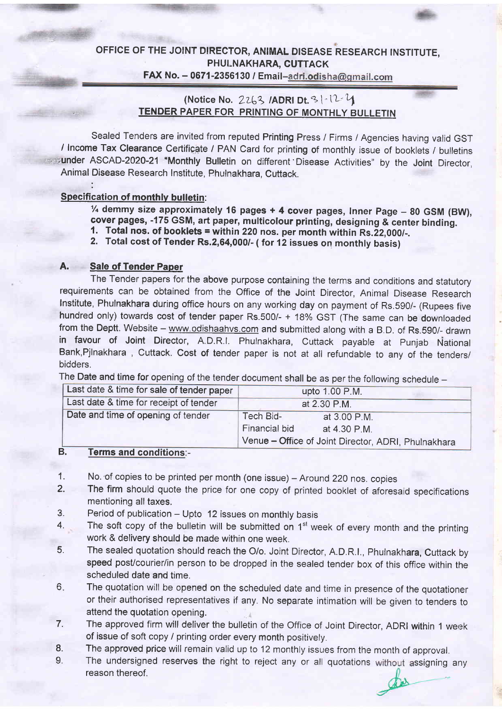### OFFICE OF THE JOINT DIRECTOR, ANIMAL DISEASE RESEARCH INSTITUTE, PHULNAKHARA, CUTTAGK FAX No.  $-$  0671-2356130 / Email-adri.odisha@gmail.com

### (Notice No. 2263 / ADRI Dt. 3 | - 12 -  $4$ TENDER PAPER FOR PRINTING OF MONTHLY BULLETIN

Sealed Tenders are invited from reputed Printing Press / Firms / Agencies having valid GST / Income Tax Clearance Certificate / PAN Card for printing of monthly issue of booklets / bulletins under ASCAD-2020-21 "Monthly Bulletin on different Disease Activities" by the Joint Director, Animal Disease Research Institute, Phulnakhara. Cuttack.

### Specification of monthly bulletin:

 $\frac{1}{4}$  demmy size approximately 16 pages + 4 cover pages, Inner Page - 80 GSM (BW), cover pages, -175 GSM, art paper, multicolour printing, designing & center binding.<br>1. Total nos. of booklets = within 220 nos. per month within Rs.22,000/-.<br>2. Total cost of Tender Rs.2,64,000/- (for 12 issues on monthly

### A. Sale of Tender Paper

The Tender papers for the above purpose containing the terms and conditions and statutory requirements can be obtained from the Office of the Joint Director, Animal Disease Research Institute, Phulnakhara during office hours on any working day on payment of Rs.590/- (Rupees five hundred only) towards cost of tender paper Rs.500/-  $+$  18% GST (The same can be downloaded from the Deptt. Website – www.odishaahvs.com and submitted along with a B.D. of Rs.590/- drawn in favour of Joint Director, A.D.R.I. Phulnakhara, Cuttack payable at Punjab National Bank,Pjlnakhara , Cuttack. Cost of tender paper is not at all refundable to any of the tenders/ bidders.

The Date and time for opening of the tender document shall be as per the following schedule -

| Last date & time for sale of tender paper | upto 1.00 P.M.                                      |  |  |  |  |
|-------------------------------------------|-----------------------------------------------------|--|--|--|--|
| Last date & time for receipt of tender    | at 2.30 P.M.                                        |  |  |  |  |
| Date and time of opening of tender        | Tech Bid-<br>at 3.00 P.M.                           |  |  |  |  |
|                                           | Financial bid<br>at 4.30 P.M.                       |  |  |  |  |
|                                           | Venue - Office of Joint Director, ADRI, Phulnakhara |  |  |  |  |

#### Terms and conditions:- B.

- No. of copies to be printed per month (one issue) Around 220 nos. copies 1.
- The firm should quote the price for one copy of printed booklet of aforesaid specifications mentioning all taxes. 2.
- Period of publication Upto 12 issues on monthly basis  $3.$
- The soft copy of the bulletin will be submitted on  $1<sup>st</sup>$  week of every month and the printing work & delivery should be made within one week. 4.
- The sealed quotation should reach the O/o. Joint Director, A.D.R.l., Phulnakhara, Cuttack by speed post/courier/in person to be dropped in the sealed tender box of this office within the scheduled date and time. 5.
- The quotation will be opened on the scheduled date and time in presence of the quotationer or their authorised representatives if any. No separate intimation will be given to tenders to attend the quotation opening. 6
- The approved firm will deliver the bulletin of the Office of Joint Director, ADRI within 1 week of issue of soft copy / printing order every month positively. 7.
- The approved price will remain valid up to 12 monthly issues from the month of approval. 8.
- The undersigned reserves the right to reject any or all quotations without assigning any reason thereof. o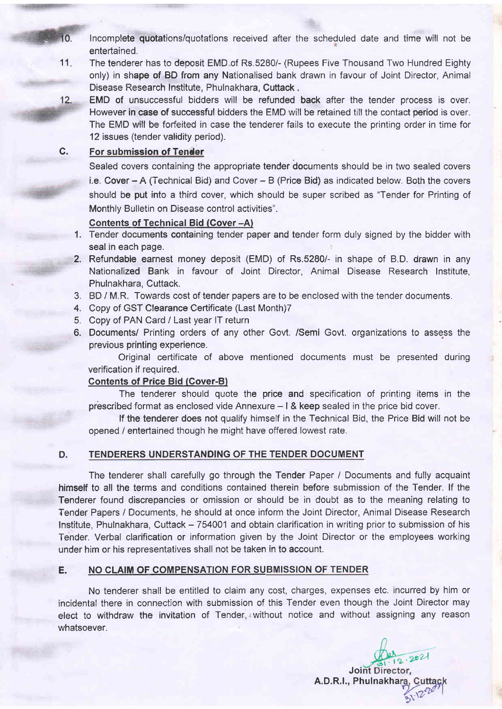- Incomplete quotations/quotations received after the scheduled date and time will not be 10. entertained
- 11 The tenderer has to deposit EMD of Rs.5280/- (Rupees Five Thousand Two Hundred Eighty only) in shape of BD from any Nationalised bank drawn in favour of Joint Director, Animal Disease Research lnstitute, Phulnakhara, Cuttack .
- EMD of unsuccessful bidders will be refunded back after the tender process is over.  $12.$ However in case of successful bidders the EMD will be retained till the contact period is over. The EMD will be forfeited in case the tenderer fails to execute the printing order in time for 12 issues (tender validity period).

#### For submission of Tender c.

Sealed covers containing the appropriate tender documents should be in two sealed covers i.e. Cover - A (Technical Bid) and Cover - B (Price Bid) as indicated below. Both the covers should be put into a third cover, which should be super scribed as "Tender for Printing of Monthly Bulletin on Disease control activities".

### Gontents of Technical Bid (Gover -A)

- 1. Tender documents containing tender paper and tender form duly signed by the bidder with seal in each page.
- 2. Refundable earnest money deposit (EMD) of Rs.5280/- in shape of B.D. drawn in any Nationalized Bank in favour of Joint Director. Animal Disease Research lnstitute. Phulnakhara, Cuttack.
- 3. BD / M,R. Towards cost of tender papers are to be enclosed with the tender documents.
- 4. Copy of GST Clearance Certificate (Last Month)7
- 5. Copy of PAN Card / Last year lT return
- 6. Documents/ Printing orders of any other Govt. /Semi Govt. organizations to assess the previous printing experience.

Original certificate of above mentioned documents must be presented during verification if required.

### Gontents of Price Bid (Cover-B)

The tenderer should quote the price and specification of printing items in the prescribed format as enclosed vide Annexure  $-1$  & keep sealed in the price bid cover.

lf the tenderer does not qualify himself in the Technical Bid, the Price Bid will not be opened / entertained though he might have offered lowest rate.

### D. TENDERERS UNDERSTANDING OF THE TENDER DOCUMENT

The tenderer shall carefully go through the Tender Paper / Documents and fully acquaint himself to all the terms and conditions contained therein before submission of the Tender. lf the Tenderer found discrepancies or omission or should be in doubt as to the meaning relating to Tender Papers / Documents, he should at once inform the Joint Director, Animal Disease Research Institute, Phulnakhara, Cuttack - 754001 and obtain clarification in writing prior to submission of his Tender. Verbal clarification or information given by the Joint Director or the employees working under him or his representatives shall not be taken in to account.

### E. NO CLAIM OF COMPENSATION FOR SUBMISSION OF TENDER

No tenderer shall be entitled to claim any cost, charges, expenses etc. incurred by him or incidental there in connection with submission of this Tender even though the Joint Director may elect to withdraw the invitation of Tender, without notice and without assigning any reason whatsoever.

 $.202$ **Joint Director.** A.D.R.l., Phulnakha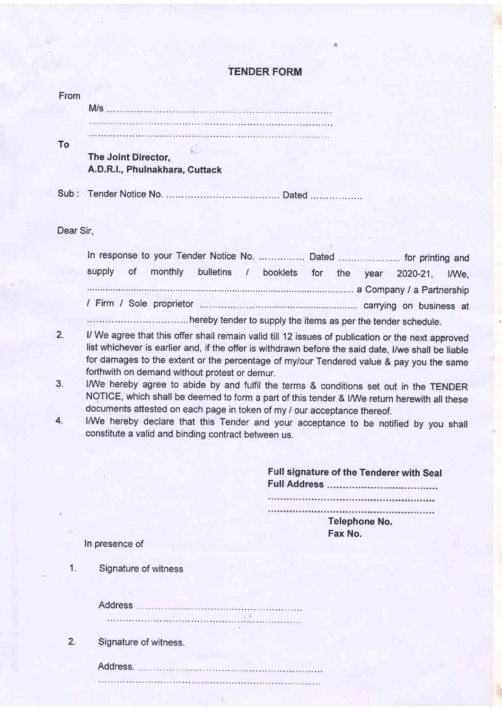### TENDER FORM

| From |                                                       |
|------|-------------------------------------------------------|
|      | M/s                                                   |
|      |                                                       |
|      |                                                       |
|      | The Joint Director,<br>A.D.R.I., Phulnakhara, Cuttack |
|      |                                                       |
|      | Sub: Tender Notice No.<br>Dated                       |

Dear Sir,

|  |  |  |  |  | In response to your Tender Notice No.  Dated  for printing and     |  |
|--|--|--|--|--|--------------------------------------------------------------------|--|
|  |  |  |  |  | supply of monthly bulletins / booklets for the year 2020-21, I/We, |  |
|  |  |  |  |  | a Company / a Partnership                                          |  |
|  |  |  |  |  |                                                                    |  |
|  |  |  |  |  |                                                                    |  |

- 2. ,;;" ;n,"" in". in,, "n":1"i1:T::i::''Jfi 1ff,"":Tffi',j\*"'"::H:':1i:;eroved list whichever is earlier and, if the offer is withdrawn before the said date, l/we shall be liable for damages to the extent or the percentage of my/our Tendered value & pay you the same forthwith on demand without protest or demur.
- 3. I/We hereby agree to abide by and fulfil the terms & conditions set out in the TENDER NOTICE, which shall be deemed to form a part of this tender & I/We return herewith all these documents attested on each page in token of my / our acceptance thereof.
- 4. I/We hereby declare that this Tender and your acceptance to be notified by you shall constitute a valid and binding contract between us.

Full signature of the Tenderer with Seal FullAddress 

Telephone No. Fax No.

ln presence of

Signature of witness 1.

> Address

2. Signature of witness.

Address.